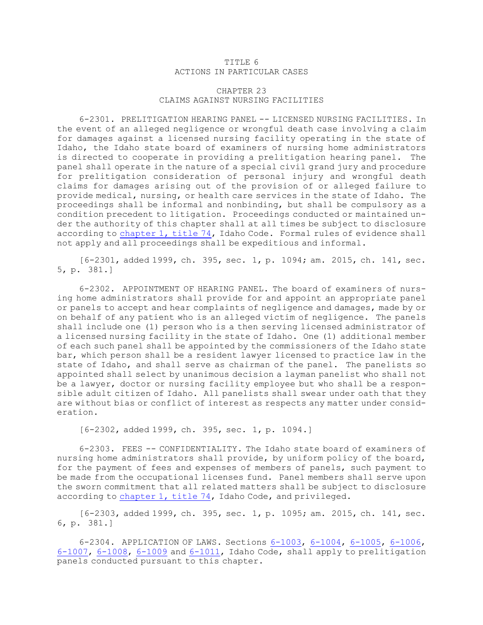## TITLE 6 ACTIONS IN PARTICULAR CASES

## CHAPTER 23 CLAIMS AGAINST NURSING FACILITIES

6-2301. PRELITIGATION HEARING PANEL -- LICENSED NURSING FACILITIES. In the event of an alleged negligence or wrongful death case involving <sup>a</sup> claim for damages against <sup>a</sup> licensed nursing facility operating in the state of Idaho, the Idaho state board of examiners of nursing home administrators is directed to cooperate in providing <sup>a</sup> prelitigation hearing panel. The panel shall operate in the nature of <sup>a</sup> special civil grand jury and procedure for prelitigation consideration of personal injury and wrongful death claims for damages arising out of the provision of or alleged failure to provide medical, nursing, or health care services in the state of Idaho. The proceedings shall be informal and nonbinding, but shall be compulsory as <sup>a</sup> condition precedent to litigation. Proceedings conducted or maintained under the authority of this chapter shall at all times be subject to disclosure according to [chapter](https://legislature.idaho.gov/statutesrules/idstat/Title74/T74CH1) 1, title 74, Idaho Code. Formal rules of evidence shall not apply and all proceedings shall be expeditious and informal.

[6-2301, added 1999, ch. 395, sec. 1, p. 1094; am. 2015, ch. 141, sec. 5, p. 381.]

6-2302. APPOINTMENT OF HEARING PANEL. The board of examiners of nursing home administrators shall provide for and appoint an appropriate panel or panels to accept and hear complaints of negligence and damages, made by or on behalf of any patient who is an alleged victim of negligence. The panels shall include one (1) person who is <sup>a</sup> then serving licensed administrator of <sup>a</sup> licensed nursing facility in the state of Idaho. One (1) additional member of each such panel shall be appointed by the commissioners of the Idaho state bar, which person shall be <sup>a</sup> resident lawyer licensed to practice law in the state of Idaho, and shall serve as chairman of the panel. The panelists so appointed shall select by unanimous decision <sup>a</sup> layman panelist who shall not be <sup>a</sup> lawyer, doctor or nursing facility employee but who shall be <sup>a</sup> responsible adult citizen of Idaho. All panelists shall swear under oath that they are without bias or conflict of interest as respects any matter under consideration.

[6-2302, added 1999, ch. 395, sec. 1, p. 1094.]

6-2303. FEES -- CONFIDENTIALITY. The Idaho state board of examiners of nursing home administrators shall provide, by uniform policy of the board, for the payment of fees and expenses of members of panels, such payment to be made from the occupational licenses fund. Panel members shall serve upon the sworn commitment that all related matters shall be subject to disclosure according to [chapter](https://legislature.idaho.gov/statutesrules/idstat/Title74/T74CH1) 1, title 74, Idaho Code, and privileged.

[6-2303, added 1999, ch. 395, sec. 1, p. 1095; am. 2015, ch. 141, sec. 6, p. 381.]

6-2304. APPLICATION OF LAWS. Sections [6-1003](https://legislature.idaho.gov/statutesrules/idstat/Title6/T6CH10/SECT6-1003), [6-1004](https://legislature.idaho.gov/statutesrules/idstat/Title6/T6CH10/SECT6-1004), [6-1005](https://legislature.idaho.gov/statutesrules/idstat/Title6/T6CH10/SECT6-1005), [6-1006](https://legislature.idaho.gov/statutesrules/idstat/Title6/T6CH10/SECT6-1006), [6-1007](https://legislature.idaho.gov/statutesrules/idstat/Title6/T6CH10/SECT6-1007), [6-1008](https://legislature.idaho.gov/statutesrules/idstat/Title6/T6CH10/SECT6-1008), [6-1009](https://legislature.idaho.gov/statutesrules/idstat/Title6/T6CH10/SECT6-1009) and [6-1011](https://legislature.idaho.gov/statutesrules/idstat/Title6/T6CH10/SECT6-1011), Idaho Code, shall apply to prelitigation panels conducted pursuant to this chapter.